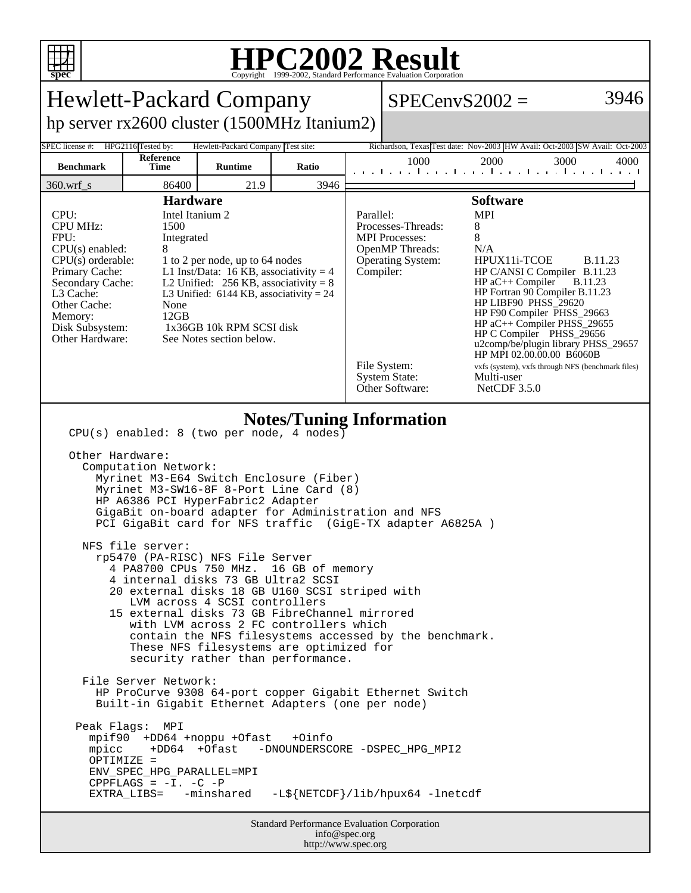

## **HPC2002 Result**

| spec<br>Copyright ©1999-2002, Standard Performance Evaluation Corporation                                                                                                                                                                                                                                                                                                                                                                                                                                                                                                                                                                                                                                                                                                                                                                                                                                                                                                                                                                                                                                                                                                                                                        |                   |                |       |                                                                                                                                                                                                                                                                                                                                                                                                                                                                                                                                                                                                                                                       |      |      |                                                                         |
|----------------------------------------------------------------------------------------------------------------------------------------------------------------------------------------------------------------------------------------------------------------------------------------------------------------------------------------------------------------------------------------------------------------------------------------------------------------------------------------------------------------------------------------------------------------------------------------------------------------------------------------------------------------------------------------------------------------------------------------------------------------------------------------------------------------------------------------------------------------------------------------------------------------------------------------------------------------------------------------------------------------------------------------------------------------------------------------------------------------------------------------------------------------------------------------------------------------------------------|-------------------|----------------|-------|-------------------------------------------------------------------------------------------------------------------------------------------------------------------------------------------------------------------------------------------------------------------------------------------------------------------------------------------------------------------------------------------------------------------------------------------------------------------------------------------------------------------------------------------------------------------------------------------------------------------------------------------------------|------|------|-------------------------------------------------------------------------|
| <b>Hewlett-Packard Company</b>                                                                                                                                                                                                                                                                                                                                                                                                                                                                                                                                                                                                                                                                                                                                                                                                                                                                                                                                                                                                                                                                                                                                                                                                   |                   |                |       | 3946<br>$SPECenvS2002 =$                                                                                                                                                                                                                                                                                                                                                                                                                                                                                                                                                                                                                              |      |      |                                                                         |
| hp server rx2600 cluster (1500MHz Itanium2)                                                                                                                                                                                                                                                                                                                                                                                                                                                                                                                                                                                                                                                                                                                                                                                                                                                                                                                                                                                                                                                                                                                                                                                      |                   |                |       |                                                                                                                                                                                                                                                                                                                                                                                                                                                                                                                                                                                                                                                       |      |      |                                                                         |
| HPG2116 Tested by:<br>SPEC license #:<br>Hewlett-Packard Company Test site:<br>Richardson, Texas Test date: Nov-2003 HW Avail: Oct-2003 SW Avail: Oct-2003                                                                                                                                                                                                                                                                                                                                                                                                                                                                                                                                                                                                                                                                                                                                                                                                                                                                                                                                                                                                                                                                       |                   |                |       |                                                                                                                                                                                                                                                                                                                                                                                                                                                                                                                                                                                                                                                       |      |      |                                                                         |
| <b>Benchmark</b>                                                                                                                                                                                                                                                                                                                                                                                                                                                                                                                                                                                                                                                                                                                                                                                                                                                                                                                                                                                                                                                                                                                                                                                                                 | Reference<br>Time | <b>Runtime</b> | Ratio |                                                                                                                                                                                                                                                                                                                                                                                                                                                                                                                                                                                                                                                       | 1000 | 2000 | 3000<br>4000<br>and the media and a media and a media and the media and |
| 360.wrf_s                                                                                                                                                                                                                                                                                                                                                                                                                                                                                                                                                                                                                                                                                                                                                                                                                                                                                                                                                                                                                                                                                                                                                                                                                        | 86400             | 21.9           | 3946  |                                                                                                                                                                                                                                                                                                                                                                                                                                                                                                                                                                                                                                                       |      |      |                                                                         |
| <b>Hardware</b><br>CPU:<br>Intel Itanium 2<br><b>CPU MHz:</b><br>1500<br>FPU:<br>Integrated<br>$CPU(s)$ enabled:<br>8<br>$CPU(s)$ orderable:<br>1 to 2 per node, up to 64 nodes<br>Primary Cache:<br>L1 Inst/Data: 16 KB, associativity = 4<br>Secondary Cache:<br>L2 Unified: $256$ KB, associativity = 8<br>L3 Cache:<br>L3 Unified: $6144$ KB, associativity = 24<br>Other Cache:<br>None<br>12GB<br>Memory:<br>Disk Subsystem:<br>1x36GB 10k RPM SCSI disk<br>Other Hardware:<br>See Notes section below.                                                                                                                                                                                                                                                                                                                                                                                                                                                                                                                                                                                                                                                                                                                    |                   |                |       | <b>Software</b><br><b>MPI</b><br>Parallel:<br>8<br>Processes-Threads:<br>8<br><b>MPI</b> Processes:<br>OpenMP Threads:<br>N/A<br>HPUX11i-TCOE<br><b>Operating System:</b><br><b>B.11.23</b><br>Compiler:<br>HP C/ANSI C Compiler B.11.23<br>HP aC++ Compiler<br><b>B.11.23</b><br>HP Fortran 90 Compiler B.11.23<br>HP LIBF90 PHSS_29620<br>HP F90 Compiler PHSS_29663<br>HP aC++ Compiler PHSS_29655<br>HP C Compiler PHSS_29656<br>u2comp/be/plugin library PHSS_29657<br>HP MPI 02.00.00.00 B6060B<br>File System:<br>vxfs (system), vxfs through NFS (benchmark files)<br><b>System State:</b><br>Multi-user<br>Other Software:<br>NetCDF $3.5.0$ |      |      |                                                                         |
| <b>Notes/Tuning Information</b><br>$CPU(s)$ enabled: 8 (two per node, 4 nodes)<br>Other Hardware:<br>Computation Network:<br>Myrinet M3-E64 Switch Enclosure (Fiber)<br>Myrinet M3-SW16-8F 8-Port Line Card (8)<br>HP A6386 PCI HyperFabric2 Adapter<br>GigaBit on-board adapter for Administration and NFS<br>PCI GigaBit card for NFS traffic (GigE-TX adapter A6825A)<br>NFS file server:<br>rp5470 (PA-RISC) NFS File Server<br>4 PA8700 CPUs 750 MHz. 16 GB of memory<br>4 internal disks 73 GB Ultra2 SCSI<br>20 external disks 18 GB U160 SCSI striped with<br>LVM across 4 SCSI controllers<br>15 external disks 73 GB FibreChannel mirrored<br>with LVM across 2 FC controllers which<br>contain the NFS filesystems accessed by the benchmark.<br>These NFS filesystems are optimized for<br>security rather than performance.<br>File Server Network:<br>HP ProCurve 9308 64-port copper Gigabit Ethernet Switch<br>Built-in Gigabit Ethernet Adapters (one per node)<br>Peak Flags: MPI<br>mpif90 +DD64 +noppu +Ofast +Oinfo<br>mpicc +DD64 +Ofast -DNOUNDERSCORE -DSPEC_HPG_MPI2<br>OPTIMIZE =<br>ENV_SPEC_HPG_PARALLEL=MPI<br>CPPFLAGS = $-I. -C$ -P<br>-L\${NETCDF}/lib/hpux64 -lnetcdf<br>EXTRA_LIBS= -minshared |                   |                |       |                                                                                                                                                                                                                                                                                                                                                                                                                                                                                                                                                                                                                                                       |      |      |                                                                         |
| <b>Standard Performance Evaluation Corporation</b><br>info@spec.org<br>http://www.spec.org                                                                                                                                                                                                                                                                                                                                                                                                                                                                                                                                                                                                                                                                                                                                                                                                                                                                                                                                                                                                                                                                                                                                       |                   |                |       |                                                                                                                                                                                                                                                                                                                                                                                                                                                                                                                                                                                                                                                       |      |      |                                                                         |